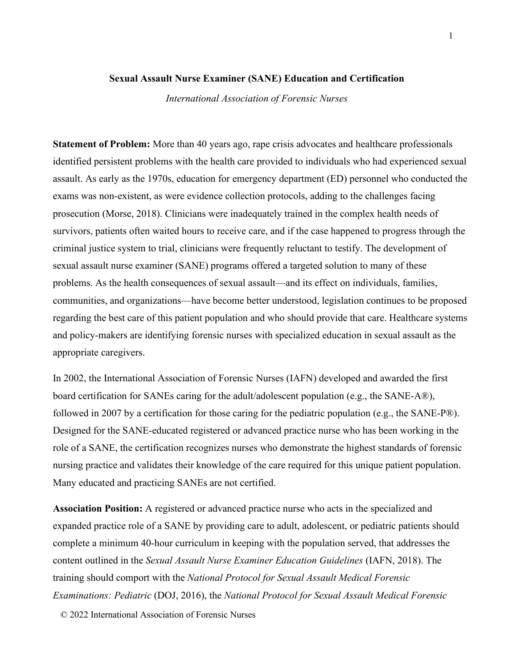## **Sexual Assault Nurse Examiner (SANE) Education and Certification**

*International Association of Forensic Nurses*

**Statement of Problem:** More than 40 years ago, rape crisis advocates and healthcare professionals identified persistent problems with the health care provided to individuals who had experienced sexual assault. As early as the 1970s, education for emergency department (ED) personnel who conducted the exams was non-existent, as were evidence collection protocols, adding to the challenges facing prosecution (Morse, 2018). Clinicians were inadequately trained in the complex health needs of survivors, patients often waited hours to receive care, and if the case happened to progress through the criminal justice system to trial, clinicians were frequently reluctant to testify. The development of sexual assault nurse examiner (SANE) programs offered a targeted solution to many of these problems. As the health consequences of sexual assault—and its effect on individuals, families, communities, and organizations—have become better understood, legislation continues to be proposed regarding the best care of this patient population and who should provide that care. Healthcare systems and policy-makers are identifying forensic nurses with specialized education in sexual assault as the appropriate caregivers.

In 2002, the International Association of Forensic Nurses (IAFN) developed and awarded the first board certification for SANEs caring for the adult/adolescent population (e.g., the SANE-A®), followed in 2007 by a certification for those caring for the pediatric population (e.g., the SANE-P®). Designed for the SANE-educated registered or advanced practice nurse who has been working in the role of a SANE, the certification recognizes nurses who demonstrate the highest standards of forensic nursing practice and validates their knowledge of the care required for this unique patient population. Many educated and practicing SANEs are not certified.

**Association Position:** A registered or advanced practice nurse who acts in the specialized and expanded practice role of a SANE by providing care to adult, adolescent, or pediatric patients should complete a minimum 40-hour curriculum in keeping with the population served, that addresses the content outlined in the *Sexual Assault Nurse Examiner Education Guidelines* (IAFN, 2018). The training should comport with the *National Protocol for Sexual Assault Medical Forensic Examinations: Pediatric* (DOJ, 2016), the *National Protocol for Sexual Assault Medical Forensic* 

© 2022 International Association of Forensic Nurses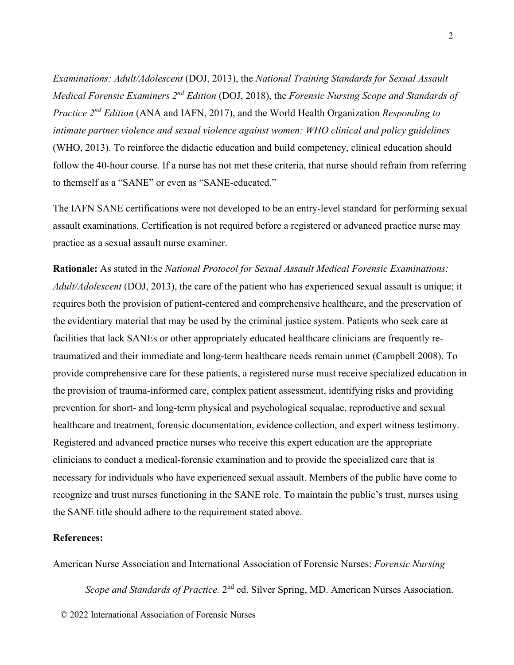*Examinations: Adult/Adolescent* (DOJ, 2013), the *National Training Standards for Sexual Assault Medical Forensic Examiners 2nd Edition* (DOJ, 2018), the *Forensic Nursing Scope and Standards of Practice 2nd Edition* (ANA and IAFN, 2017), and the World Health Organization *Responding to intimate partner violence and sexual violence against women: WHO clinical and policy guidelines*  (WHO, 2013). To reinforce the didactic education and build competency, clinical education should follow the 40-hour course. If a nurse has not met these criteria, that nurse should refrain from referring to themself as a "SANE" or even as "SANE-educated."

The IAFN SANE certifications were not developed to be an entry-level standard for performing sexual assault examinations. Certification is not required before a registered or advanced practice nurse may practice as a sexual assault nurse examiner.

**Rationale:** As stated in the *National Protocol for Sexual Assault Medical Forensic Examinations: Adult/Adolescent* (DOJ, 2013), the care of the patient who has experienced sexual assault is unique; it requires both the provision of patient-centered and comprehensive healthcare, and the preservation of the evidentiary material that may be used by the criminal justice system. Patients who seek care at facilities that lack SANEs or other appropriately educated healthcare clinicians are frequently retraumatized and their immediate and long-term healthcare needs remain unmet (Campbell 2008). To provide comprehensive care for these patients, a registered nurse must receive specialized education in the provision of trauma-informed care, complex patient assessment, identifying risks and providing prevention for short- and long-term physical and psychological sequalae, reproductive and sexual healthcare and treatment, forensic documentation, evidence collection, and expert witness testimony. Registered and advanced practice nurses who receive this expert education are the appropriate clinicians to conduct a medical-forensic examination and to provide the specialized care that is necessary for individuals who have experienced sexual assault. Members of the public have come to recognize and trust nurses functioning in the SANE role. To maintain the public's trust, nurses using the SANE title should adhere to the requirement stated above.

## **References:**

American Nurse Association and International Association of Forensic Nurses: *Forensic Nursing*

*Scope and Standards of Practice.* 2<sup>nd</sup> ed. Silver Spring, MD. American Nurses Association.

© 2022 International Association of Forensic Nurses